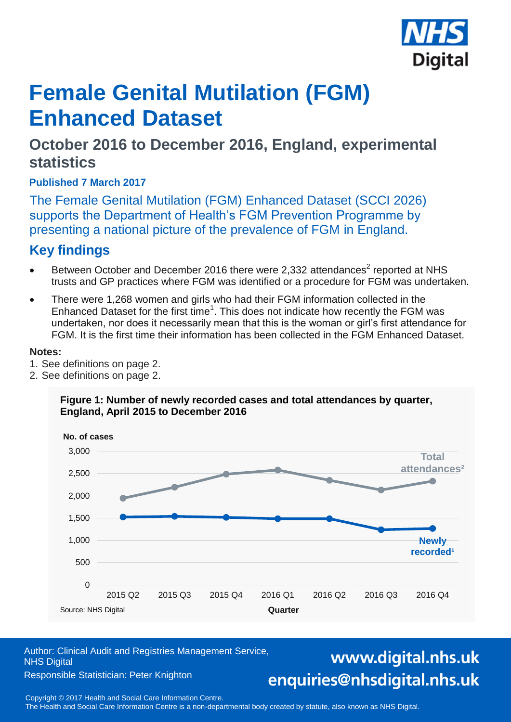

# **Female Genital Mutilation (FGM) Enhanced Dataset**

# **October 2016 to December 2016, England, experimental statistics**

**Published 7 March 2017**

The Female Genital Mutilation (FGM) Enhanced Dataset (SCCI 2026) supports the Department of Health's FGM Prevention Programme by presenting a national picture of the prevalence of FGM in England.

# **Key findings**

- **Between October and December 2016 there were 2,332 attendances<sup>2</sup> reported at NHS** trusts and GP practices where FGM was identified or a procedure for FGM was undertaken.
- There were 1,268 women and girls who had their FGM information collected in the Enhanced Dataset for the first time<sup>1</sup>. This does not indicate how recently the FGM was undertaken, nor does it necessarily mean that this is the woman or girl's first attendance for FGM. It is the first time their information has been collected in the FGM Enhanced Dataset.

### **Notes:**

- 1. See definitions on page 2.
- 2. See definitions on page 2.

### **Figure 1: Number of newly recorded cases and total attendances by quarter, England, April 2015 to December 2016**



Author: Clinical Audit and Registries Management Service, NHS Digital

#### Responsible Statistician: Peter Knighton

# www.digital.nhs.uk enquiries@nhsdigital.nhs.uk

Copyright © 2016, Health and Social Care Information Centre. 1 Copyright © 2017 Health and Social Care Information Centre.

The Health and Social Care Information Centre is a non-departmental body created by statute, also known as NHS Digital.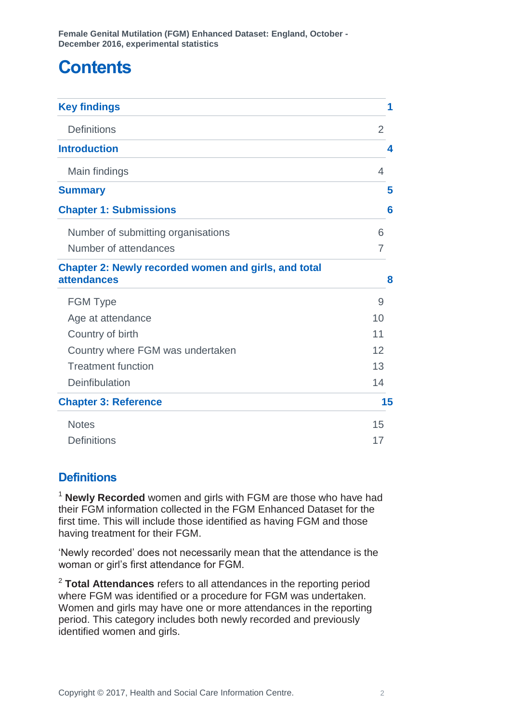# **Contents**

| <b>Key findings</b>                                                               | 1  |
|-----------------------------------------------------------------------------------|----|
| <b>Definitions</b>                                                                | 2  |
| <b>Introduction</b>                                                               | 4  |
| Main findings                                                                     | 4  |
| <b>Summary</b>                                                                    | 5  |
| <b>Chapter 1: Submissions</b>                                                     | 6  |
| Number of submitting organisations                                                | 6  |
| Number of attendances                                                             | 7  |
| <b>Chapter 2: Newly recorded women and girls, and total</b><br><b>attendances</b> | 8  |
| <b>FGM Type</b>                                                                   | 9  |
| Age at attendance                                                                 | 10 |
| Country of birth                                                                  | 11 |
| Country where FGM was undertaken                                                  | 12 |
| <b>Treatment function</b>                                                         | 13 |
| Deinfibulation                                                                    | 14 |
| <b>Chapter 3: Reference</b>                                                       | 15 |
| <b>Notes</b>                                                                      | 15 |
| <b>Definitions</b>                                                                | 17 |

### <span id="page-1-0"></span>**Definitions**

<sup>1</sup> **Newly Recorded** women and girls with FGM are those who have had their FGM information collected in the FGM Enhanced Dataset for the first time. This will include those identified as having FGM and those having treatment for their FGM.

'Newly recorded' does not necessarily mean that the attendance is the woman or girl's first attendance for FGM.

2 **Total Attendances** refers to all attendances in the reporting period where FGM was identified or a procedure for FGM was undertaken. Women and girls may have one or more attendances in the reporting period. This category includes both newly recorded and previously identified women and girls.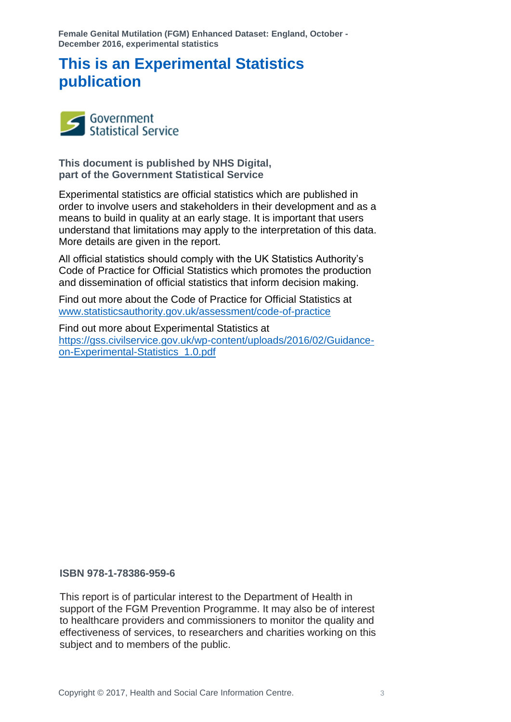# **This is an Experimental Statistics publication**



**This document is published by NHS Digital, part of the Government Statistical Service**

Experimental statistics are official statistics which are published in order to involve users and stakeholders in their development and as a means to build in quality at an early stage. It is important that users understand that limitations may apply to the interpretation of this data. More details are given in the report.

All official statistics should comply with the UK Statistics Authority's Code of Practice for Official Statistics which promotes the production and dissemination of official statistics that inform decision making.

Find out more about the Code of Practice for Official Statistics at [www.statisticsauthority.gov.uk/assessment/code-of-practice](http://www.statisticsauthority.gov.uk/assessment/code-of-practice)

Find out more about Experimental Statistics at [https://gss.civilservice.gov.uk/wp-content/uploads/2016/02/Guidance](https://gss.civilservice.gov.uk/wp-content/uploads/2016/02/Guidance-on-Experimental-Statistics_1.0.pdf)[on-Experimental-Statistics\\_1.0.pdf](https://gss.civilservice.gov.uk/wp-content/uploads/2016/02/Guidance-on-Experimental-Statistics_1.0.pdf)

#### **ISBN 978-1-78386-959-6**

This report is of particular interest to the Department of Health in support of the FGM Prevention Programme. It may also be of interest to healthcare providers and commissioners to monitor the quality and effectiveness of services, to researchers and charities working on this subject and to members of the public.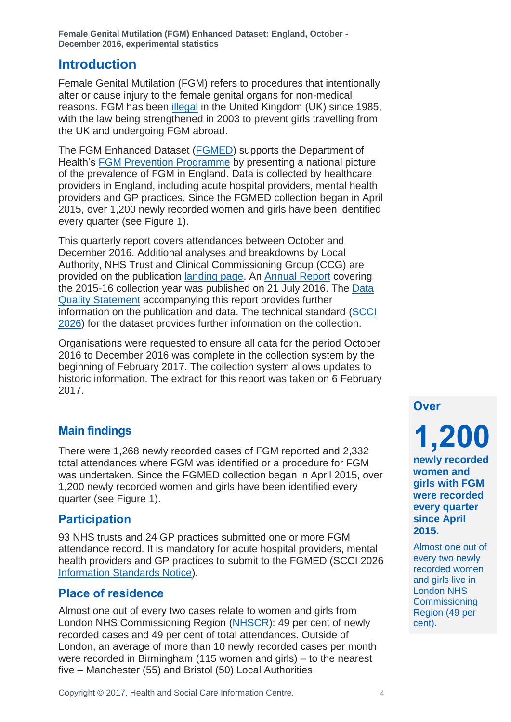### <span id="page-3-0"></span>**Introduction**

Female Genital Mutilation (FGM) refers to procedures that intentionally alter or cause injury to the female genital organs for non-medical reasons. FGM has been [illegal](https://www.gov.uk/female-genital-mutilation-help-advice) in the United Kingdom (UK) since 1985, with the law being strengthened in 2003 to prevent girls travelling from the UK and undergoing FGM abroad.

The FGM Enhanced Dataset [\(FGMED\)](http://www.digital.nhs.uk/fgm) supports the Department of Health's [FGM Prevention Programme](http://content.digital.nhs.uk/media/18622/FGM-Prevention-Programme-Guidance-Statement-September-2015/pdf/FGM_Prevention_Programme_Guidance_Statement_September_2015.pdf) by presenting a national picture of the prevalence of FGM in England. Data is collected by healthcare providers in England, including acute hospital providers, mental health providers and GP practices. Since the FGMED collection began in April 2015, over 1,200 newly recorded women and girls have been identified every quarter (see Figure 1).

This quarterly report covers attendances between October and December 2016. Additional analyses and breakdowns by Local Authority, NHS Trust and Clinical Commissioning Group (CCG) are provided on the publication [landing page.](http://www.hscic.gov.uk/pubs/fgmdec16) An [Annual Report](http://www.hscic.gov.uk/pubs/fgm1516) covering the 2015-16 collection year was published on 21 July 2016. The [Data](http://www.hscic.gov.uk/pubs/fgmdec16)  [Quality Statement](http://www.hscic.gov.uk/pubs/fgmdec16) accompanying this report provides further information on the publication and data. The technical standard [\(SCCI](http://content.digital.nhs.uk/isce/publication/scci2026)  [2026\)](http://content.digital.nhs.uk/isce/publication/scci2026) for the dataset provides further information on the collection.

Organisations were requested to ensure all data for the period October 2016 to December 2016 was complete in the collection system by the beginning of February 2017. The collection system allows updates to historic information. The extract for this report was taken on 6 February 2017.

### <span id="page-3-1"></span>**Main findings**

There were 1,268 newly recorded cases of FGM reported and 2,332 total attendances where FGM was identified or a procedure for FGM was undertaken. Since the FGMED collection began in April 2015, over 1,200 newly recorded women and girls have been identified every quarter (see Figure 1).

### **Participation**

93 NHS trusts and 24 GP practices submitted one or more FGM attendance record. It is mandatory for acute hospital providers, mental health providers and GP practices to submit to the FGMED (SCCI 2026 [Information Standards Notice\)](http://content.digital.nhs.uk/media/16780/2026122014isn/pdf/2026122014isn.pdf).

### **Place of residence**

Almost one out of every two cases relate to women and girls from London NHS Commissioning Region [\(NHSCR\)](http://www.england.nhs.uk/about/regional-area-teams/): 49 per cent of newly recorded cases and 49 per cent of total attendances. Outside of London, an average of more than 10 newly recorded cases per month were recorded in Birmingham (115 women and girls) – to the nearest five – Manchester (55) and Bristol (50) Local Authorities.

**Over**

**1,200**

**newly recorded women and girls with FGM were recorded every quarter since April 2015.**

Almost one out of every two newly recorded women and girls live in London NHS Commissioning Region (49 per cent).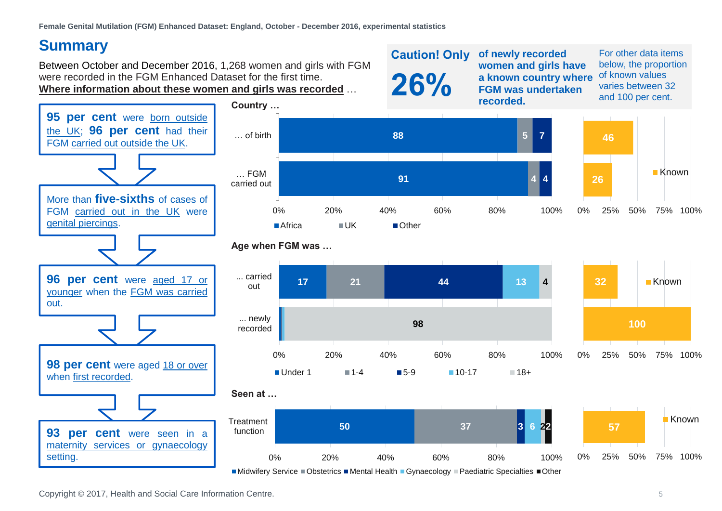# **Summary**

Between October and December 2016, 1,268 women and girls with FGM were recorded in the FGM Enhanced Dataset for the first time. **Where information about these women and girls was recorded** …



For other data items below, the proportion of known values varies between 32 and 100 per cent.



<span id="page-4-0"></span>

**93 per cent** were seen in a maternity services or gynaecology

setting.







 $\blacksquare$ Midwifery Service  $\blacksquare$ Obstetrics  $\blacksquare$ Mental Health  $\blacksquare$ Gynaecology  $\blacksquare$ Paediatric Specialties  $\blacksquare$ Other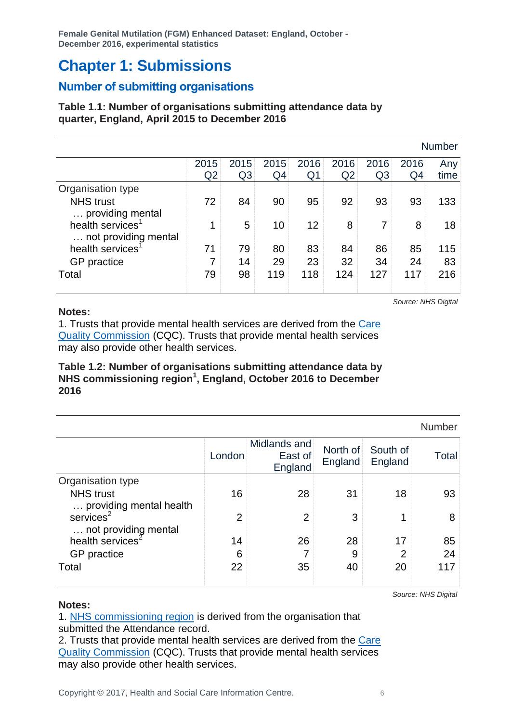# <span id="page-5-0"></span>**Chapter 1: Submissions**

### <span id="page-5-1"></span>**Number of submitting organisations**

### **Table 1.1: Number of organisations submitting attendance data by quarter, England, April 2015 to December 2016**

|                                                  |                |      |      |      |      |                |                | <b>Number</b> |
|--------------------------------------------------|----------------|------|------|------|------|----------------|----------------|---------------|
|                                                  | 2015           | 2015 | 2015 | 2016 | 2016 | 2016           | 2016           | Any           |
|                                                  | Q <sub>2</sub> | Q3   | Q4   | Q1   | Q2   | Q <sub>3</sub> | Q <sub>4</sub> | time          |
| Organisation type                                |                |      |      |      |      |                |                |               |
| <b>NHS trust</b>                                 | 72             | 84   | 90   | 95   | 92   | 93             | 93             | 133           |
| providing mental<br>health services <sup>1</sup> | 1              | 5    | 10   | 12   | 8    | 7              | 8              | 18            |
| not providing mental                             |                |      |      |      |      |                |                |               |
| health services <sup>®</sup>                     | 71             | 79   | 80   | 83   | 84   | 86             | 85             | 115           |
| GP practice                                      | 7              | 14   | 29   | 23   | 32   | 34             | 24             | 83            |
| Total                                            | 79             | 98   | 119  | 118  | 124  | 127            | 117            | 216           |
|                                                  |                |      |      |      |      |                |                |               |

#### **Notes:**

1. Trusts that provide mental health services are derived from the [Care](http://www.cqc.org.uk/download/a-to-z/mh-imonitoring-feb-2016)  [Quality Commission](http://www.cqc.org.uk/download/a-to-z/mh-imonitoring-feb-2016) (CQC). Trusts that provide mental health services may also provide other health services.

### **Table 1.2: Number of organisations submitting attendance data by NHS commissioning region<sup>1</sup> , England, October 2016 to December 2016**

|                                         |                |                                    |                     |                     | Number |
|-----------------------------------------|----------------|------------------------------------|---------------------|---------------------|--------|
|                                         | London         | Midlands and<br>East of<br>England | North of<br>England | South of<br>England | Total  |
| Organisation type                       |                |                                    |                     |                     |        |
| <b>NHS</b> trust                        | 16             | 28                                 | 31                  | 18                  | 93     |
| providing mental health                 |                |                                    |                     |                     |        |
| $s$ ervices $2$<br>not providing mental | $\overline{2}$ | $\overline{2}$                     | 3                   | 1                   | 8      |
| health services <sup>2</sup>            | 14             | 26                                 | 28                  | 17                  | 85     |
| GP practice                             | 6              | 7                                  | 9                   | $\overline{2}$      | 24     |
| Total                                   | 22             | 35                                 | 40                  | 20                  | 117    |
|                                         |                |                                    |                     |                     |        |

*Source: NHS Digital*

*Source: NHS Digital*

**Notes:**

1. [NHS commissioning region](http://www.england.nhs.uk/about/regional-area-teams/) is derived from the organisation that submitted the Attendance record.

2. Trusts that provide mental health services are derived from the Care [Quality Commission](http://www.cqc.org.uk/download/a-to-z/mh-imonitoring-feb-2016) (CQC). Trusts that provide mental health services may also provide other health services.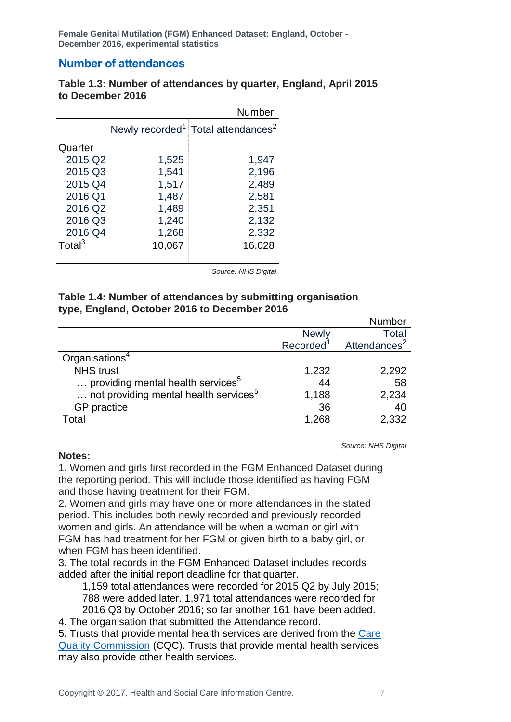### <span id="page-6-0"></span>**Number of attendances**

### **Table 1.3: Number of attendances by quarter, England, April 2015 to December 2016**

|                    |        | Number                                                     |
|--------------------|--------|------------------------------------------------------------|
|                    |        | Newly recorded <sup>1</sup> Total attendances <sup>2</sup> |
| Quarter            |        |                                                            |
| 2015 Q2            | 1,525  | 1,947                                                      |
| 2015 Q3            | 1,541  | 2,196                                                      |
| 2015 Q4            | 1,517  | 2,489                                                      |
| 2016 Q1            | 1,487  | 2,581                                                      |
| 2016 Q2            | 1,489  | 2,351                                                      |
| 2016 Q3            | 1,240  | 2,132                                                      |
| 2016 Q4            | 1,268  | 2,332                                                      |
| Total <sup>3</sup> | 10,067 | 16,028                                                     |
|                    |        |                                                            |

*Source: NHS Digital*

### **Table 1.4: Number of attendances by submitting organisation type, England, October 2016 to December 2016**

|                                                   |                       | <b>Number</b>            |
|---------------------------------------------------|-----------------------|--------------------------|
|                                                   | <b>Newly</b>          | Total                    |
|                                                   | Recorded <sup>1</sup> | Attendances <sup>2</sup> |
| Organisations <sup>4</sup>                        |                       |                          |
| <b>NHS trust</b>                                  | 1,232                 | 2,292                    |
| providing mental health services <sup>5</sup>     | 44                    | 58                       |
| not providing mental health services <sup>5</sup> | 1,188                 | 2,234                    |
| GP practice                                       | 36                    | 40                       |
| Total                                             | 1,268                 | 2,332                    |
|                                                   |                       |                          |

*Source: NHS Digital*

### **Notes:**

1. Women and girls first recorded in the FGM Enhanced Dataset during the reporting period. This will include those identified as having FGM and those having treatment for their FGM.

2. Women and girls may have one or more attendances in the stated period. This includes both newly recorded and previously recorded women and girls. An attendance will be when a woman or girl with FGM has had treatment for her FGM or given birth to a baby girl, or when FGM has been identified.

3. The total records in the FGM Enhanced Dataset includes records added after the initial report deadline for that quarter.

1,159 total attendances were recorded for 2015 Q2 by July 2015; 788 were added later. 1,971 total attendances were recorded for 2016 Q3 by October 2016; so far another 161 have been added.

4. The organisation that submitted the Attendance record.

5. Trusts that provide mental health services are derived from the [Care](http://www.cqc.org.uk/download/a-to-z/mh-imonitoring-feb-2016)  [Quality Commission](http://www.cqc.org.uk/download/a-to-z/mh-imonitoring-feb-2016) (CQC). Trusts that provide mental health services may also provide other health services.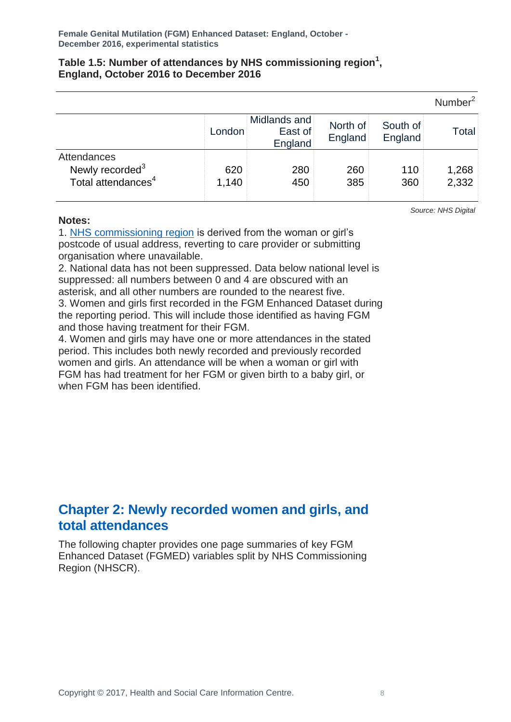### **Table 1.5: Number of attendances by NHS commissioning region<sup>1</sup> , England, October 2016 to December 2016**

|                                                                              |              |                                    |                     |                     | Number <sup>2</sup> |
|------------------------------------------------------------------------------|--------------|------------------------------------|---------------------|---------------------|---------------------|
|                                                                              | London       | Midlands and<br>East of<br>England | North of<br>England | South of<br>England | Total               |
| Attendances<br>Newly recorded <sup>3</sup><br>Total attendances <sup>4</sup> | 620<br>1,140 | 280<br>450                         | 260<br>385          | 110<br>360          | 1,268<br>2,332      |

### **Notes:**

*Source: NHS Digital*

1. [NHS commissioning region](http://www.england.nhs.uk/about/regional-area-teams/) is derived from the woman or girl's postcode of usual address, reverting to care provider or submitting organisation where unavailable.

2. National data has not been suppressed. Data below national level is suppressed: all numbers between 0 and 4 are obscured with an asterisk, and all other numbers are rounded to the nearest five.

3. Women and girls first recorded in the FGM Enhanced Dataset during the reporting period. This will include those identified as having FGM and those having treatment for their FGM.

4. Women and girls may have one or more attendances in the stated period. This includes both newly recorded and previously recorded women and girls. An attendance will be when a woman or girl with FGM has had treatment for her FGM or given birth to a baby girl, or when FGM has been identified.

### <span id="page-7-0"></span>**Chapter 2: Newly recorded women and girls, and total attendances**

The following chapter provides one page summaries of key FGM Enhanced Dataset (FGMED) variables split by NHS Commissioning Region (NHSCR).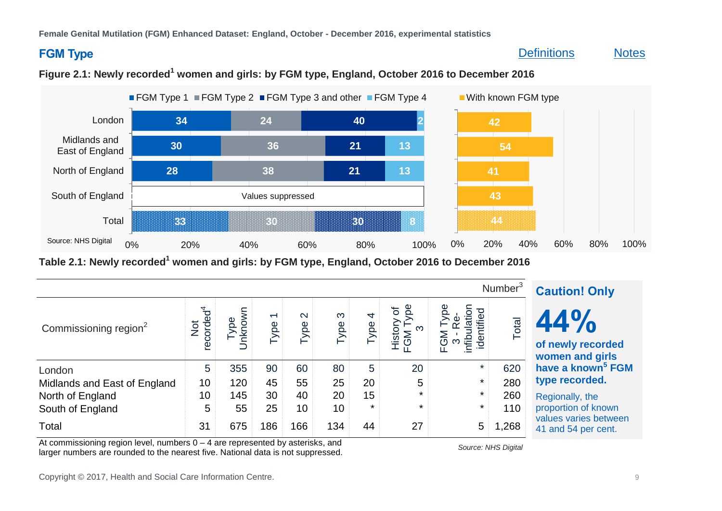### **FGM Type**

### [Definitions](#page-16-1) [Notes](#page-14-2)



### **Figure 2.1: Newly recorded<sup>1</sup> women and girls: by FGM type, England, October 2016 to December 2016**

<span id="page-8-0"></span>**Table 2.1: Newly recorded<sup>1</sup> women and girls: by FGM type, England, October 2016 to December 2016**

|                                   | <b>Caution! Only</b>         |               |                                  |                           |                  |                       |                  |                                            |       |                                              |
|-----------------------------------|------------------------------|---------------|----------------------------------|---------------------------|------------------|-----------------------|------------------|--------------------------------------------|-------|----------------------------------------------|
| Commissioning region <sup>2</sup> | Not<br>recorded <sup>4</sup> | nknown<br>ype | $\overline{\phantom{0}}$<br>Type | $\mathbf{\Omega}$<br>Type | $\infty$<br>Type | $\overline{4}$<br>ype | History<br>FGM T | ा<br>$\frac{1}{2}$<br>M<br>G<br>nfibu<br>⋒ | Total | 44%<br>of newly recorded<br>women and girls  |
| London                            | 5                            | 355           | 90                               | 60                        | 80               | $5\phantom{.0}$       | 20               | $\star$                                    | 620   | have a known <sup>5</sup> FGM                |
| Midlands and East of England      | 10                           | 120           | 45                               | 55                        | 25               | 20                    | 5                | $\star$                                    | 280   | type recorded.                               |
| North of England                  | 10                           | 145           | 30                               | 40                        | 20               | 15                    | $\star$          | $\star$                                    | 260   | Regionally, the                              |
| South of England                  | 5                            | 55            | 25                               | 10                        | 10 <sup>1</sup>  | $\star$               | $\star$          | $\star$                                    | 110   | proportion of known                          |
| Total                             | 31                           | 675           | 186                              | 166                       | 134              | 44                    | 27               | 5                                          | ,268  | values varies between<br>41 and 54 per cent. |

At commissioning region level, numbers 0 – 4 are represented by asterisks, and At commissioning region lever, numbers  $0 - 4$  are represented by asterisks, and<br>larger numbers are rounded to the nearest five. National data is not suppressed.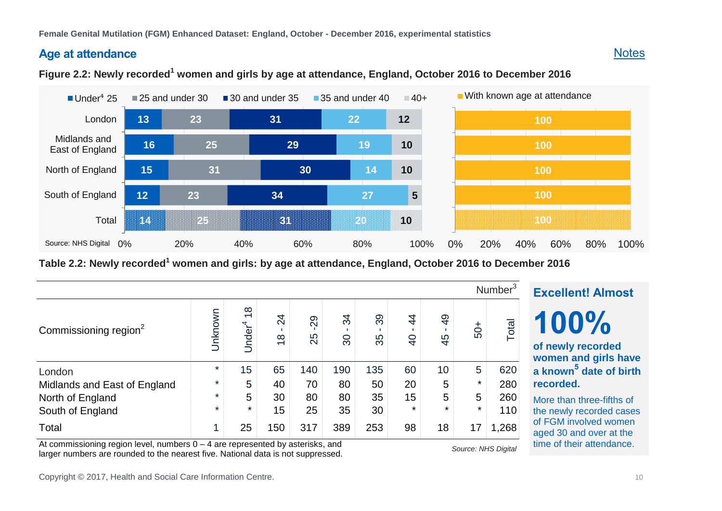### **Age at attendance**

### **[Notes](#page-14-3)**

### **Figure 2.2: Newly recorded<sup>1</sup> women and girls by age at attendance, England, October 2016 to December 2016**



<span id="page-9-0"></span>**Table 2.2: Newly recorded<sup>1</sup> women and girls: by age at attendance, England, October 2016 to December 2016**

|                                   |         |                                      |                     |          |          |          |                     |                      |        | Number <sup>3</sup> |
|-----------------------------------|---------|--------------------------------------|---------------------|----------|----------|----------|---------------------|----------------------|--------|---------------------|
| Commissioning region <sup>2</sup> | Unknown | $\frac{8}{10}$<br>Under <sup>4</sup> | 24<br>$\frac{8}{1}$ | 29<br>25 | 34<br>80 | 39<br>35 | 4<br>$\overline{4}$ | $\overline{4}$<br>45 | $-05$  | Total               |
| London                            | $\star$ | 15                                   | 65                  | 140      | 190      | 135      | 60                  | 10                   | 5      | 620                 |
| Midlands and East of England      | $\star$ | 5                                    | 40                  | 70       | 80       | 50       | 20                  | 5                    | *      | 280                 |
| North of England                  | $\star$ | 5                                    | 30                  | 80       | 80       | 35       | 15                  | 5                    | 5      | 260                 |
| South of England                  | $\star$ | $\star$                              | 15                  | 25       | 35       | 30       | $\star$             | $\star$              | $\ast$ | 110                 |
| Total                             | 4       | 25                                   | 150                 | 317      | 389      | 253      | 98                  | 18                   | 17     | 1,268               |

At commissioning region level, numbers 0 – 4 are represented by asterisks, and At commissioning region lever, numbers  $o - 4$  are represented by asterists, and<br>larger numbers are rounded to the nearest five. National data is not suppressed.

# **100% of newly recorded women and girls have a known<sup>5</sup> date of birth recorded.**

**Excellent! Almost**

More than three-fifths of the newly recorded cases of FGM involved women aged 30 and over at the time of their attendance.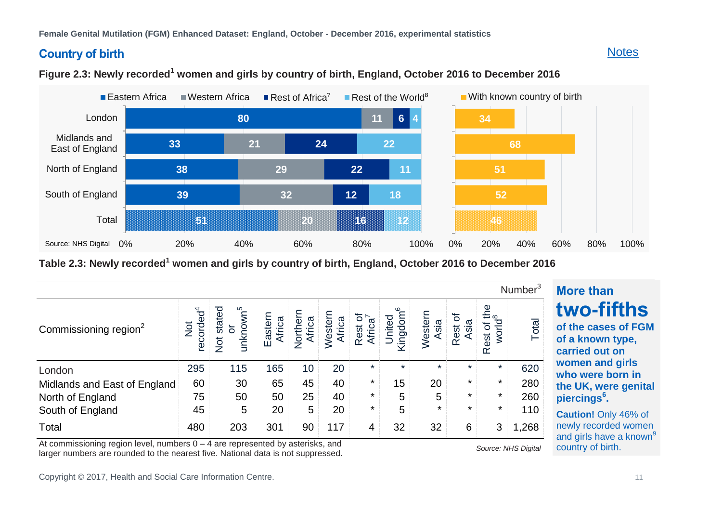### **Country of birth**

### **[Notes](#page-14-4)**



### **Figure 2.3: Newly recorded<sup>1</sup> women and girls by country of birth, England, October 2016 to December 2016**

<span id="page-10-0"></span>**Table 2.3: Newly recorded<sup>1</sup> women and girls by country of birth, England, October 2016 to December 2016**

|                                   |                              |                                                                   |                   |                    |                   |                     |                                     |                 |                      |                                   | Number <sup>3</sup> |
|-----------------------------------|------------------------------|-------------------------------------------------------------------|-------------------|--------------------|-------------------|---------------------|-------------------------------------|-----------------|----------------------|-----------------------------------|---------------------|
| Commissioning region <sup>2</sup> | recorded <sup>4</sup><br>Not | unknown <sup>5</sup><br>stated<br>$\overline{5}$<br>$\frac{1}{2}$ | Eastern<br>Africa | Northerr<br>Africa | Western<br>Africa | ত<br>Africa<br>Rest | ဖ<br>Kingdom <sup>6</sup><br>United | Western<br>Asia | 'ত<br>Rest c<br>Asia | Rest of the<br>world <sup>8</sup> | Total               |
| London                            | 295                          | 115                                                               | 165               | 10                 | 20                | $\ast$              | $\ast$                              | $\star$         | $\ast$               | $\star$                           | 620                 |
| Midlands and East of England      | 60                           | 30                                                                | 65                | 45                 | 40                | $\ast$              | 15                                  | 20              | $\star$              | $\star$                           | 280                 |
| North of England                  | 75                           | 50                                                                | 50                | 25                 | 40                | $\ast$              | 5                                   | 5               | $\star$              | $\star$                           | 260                 |
| South of England                  | 45                           | 5                                                                 | 20                | 5                  | 20                | $\ast$              | 5                                   | $\star$         | $\star$              | $\star$                           | 110                 |
| Total                             | 480                          | 203                                                               | 301               | 90                 | 117               | 4                   | 32                                  | 32              | 6                    | 3                                 | 1,268               |

At commissioning region level, numbers 0 – 4 are represented by asterisks, and At commissioning region lever, numbers  $0 - 4$  are represented by asterists, and<br>larger numbers are rounded to the nearest five. National data is not suppressed.

<span id="page-10-1"></span>

# **More than 46% two-fifths**

**of a known type, women and girls women and girls who were born in**<br>**the LIK** were result **the UK, were genital of the cases of FGM carried out on piercings<sup>6</sup> .**

regional provincial control in the control of the control of the control of the control of the control of the control of the control of the control of the control of the control of the control of the control of the control **Caution!** Only 46% of newly recorded women and girls have a known<sup>9</sup> country of birth.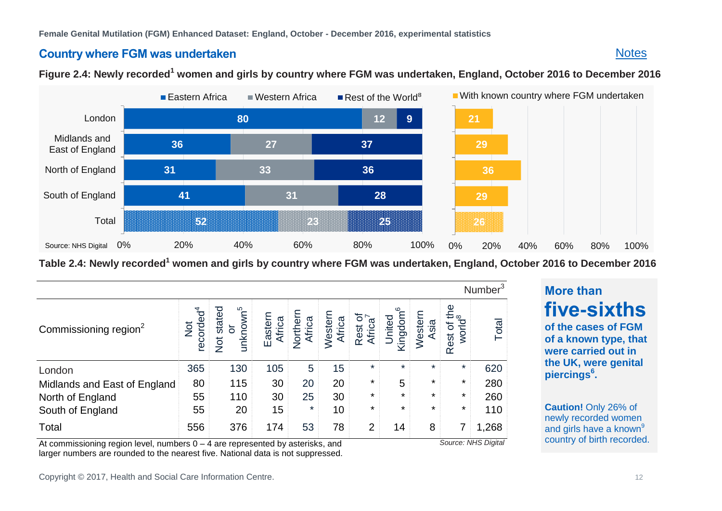### **Country where FGM was undertaken**

### **Figure 2.4: Newly recorded<sup>1</sup> women and girls by country where FGM was undertaken, England, October 2016 to December 2016**



<span id="page-11-0"></span>**Table 2.4: Newly recorded<sup>1</sup> women and girls by country where FGM was undertaken, England, October 2016 to December 2016**

|                                   |                                        |                                                       |                   |                    |                   |                                |                                |                 |                                      | Number <sup>3</sup> |
|-----------------------------------|----------------------------------------|-------------------------------------------------------|-------------------|--------------------|-------------------|--------------------------------|--------------------------------|-----------------|--------------------------------------|---------------------|
| Commissioning region <sup>2</sup> | recorded <sup>4</sup><br>$\frac{1}{2}$ | unknown <sup>5</sup><br>stated<br>or<br>$\frac{1}{2}$ | Eastern<br>Africa | Northerr<br>Africa | Western<br>Africa | Rest of<br>Africa <sup>7</sup> | United<br>Kingdom <sup>6</sup> | Western<br>Asia | or the<br>world <sup>8</sup><br>Rest | Total               |
| London                            | 365                                    | 130                                                   | 105               | 5                  | 15                | $\star$                        | $\star$                        | $\star$         | $\star$                              | 620                 |
| Midlands and East of England      | 80                                     | 115                                                   | 30                | 20                 | 20                | $\star$                        | 5                              | $\star$         | $\star$                              | 280                 |
| North of England                  | 55                                     | 110                                                   | 30                | 25                 | 30                | $\star$                        | $\star$                        | $\star$         | $\star$                              | 260                 |
| South of England                  | 55                                     | 20                                                    | 15                | $\star$            | 10                | $\star$                        | $\star$                        | $\star$         | $\ast$                               | 110                 |
| Total                             | 556                                    | 376                                                   | 174               | 53                 | 78                | 2                              | 14                             | 8               | 7                                    | 1,268               |

At commissioning region level, numbers 0 – 4 are represented by asterisks, and larger numbers are rounded to the nearest five. National data is not suppressed. <span id="page-11-1"></span>*Source: NHS Digital*

# **More than**

**[Notes](#page-15-0)** 

five-sixths **of a known type, that were carried out in the UK, were genital**  $\mu$  **piercings**<sup>6</sup>. **of the cases of FGM** 

**Caution!** Only 26% of newly recorded women and girls have a known<sup>9</sup> country of birth recorded.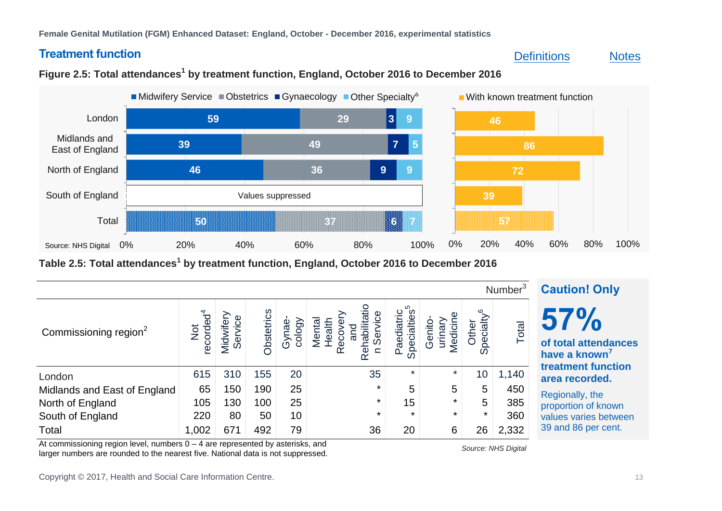### **Treatment function**

### [Definitions](#page-17-0) [Notes](#page-15-1)



#### **50 0 46 39 59 37 36 49 29 6 9 7 3 7 9 5 9** Values suppressed 0% 20% 40% 60% 80% 100% Total South of England North of England Midlands and East of England London Midwifery Service Obstetrics Gynaecology Other Specialty<sup>6</sup> Source: NHS Digital **57 39 72 86 46** 0% 20% 40% 60% 80% 100% **With known treatment function**

### **Figure 2.5: Total attendances<sup>1</sup> by treatment function, England, October 2016 to December 2016**

<span id="page-12-0"></span>**Table 2.5: Total attendances<sup>1</sup> by treatment function, England, October 2016 to December 2016**

|                                   | <b>Caution! Only</b>         |                     |            |                 |                            |                                |            |                   |       |                                                          |
|-----------------------------------|------------------------------|---------------------|------------|-----------------|----------------------------|--------------------------------|------------|-------------------|-------|----------------------------------------------------------|
| Commissioning region <sup>2</sup> | Not<br>recorded <sup>4</sup> | Service<br>Midwifer | Obstetrics | Gynae<br>cology | ⇇<br>Reh<br>$\subset$<br>œ | ပ<br>ರ<br>æ<br>Spe<br>$\Omega$ | <b>Ned</b> | Other<br>$\Omega$ | Total | 57%<br>of total attendances<br>have a known <sup>'</sup> |
| London                            | 615                          | 310                 | 155        | 20              | 35                         | $\star$                        | $\ast$     | 10                | 1,140 | treatment function<br>area recorded.                     |
| Midlands and East of England      | 65                           | 150                 | 190        | 25              | $\star$                    | 5                              | 5          | 5                 | 450   | Regionally, the                                          |
| North of England                  | 105                          | 130                 | 100        | 25              | $\star$                    | 15                             | $\star$    | 5                 | 385   | proportion of known                                      |
| South of England                  | 220                          | 80                  | 50         | 10              | $\star$                    | $\star$                        | $\star$    | $\star$           | 360   | values varies between                                    |
| Total                             | 1,002                        | 671                 | 492        | 79              | 36                         | 20                             | 6          | 26                | 2,332 | 39 and 86 per cent.                                      |

At commissioning region level, numbers 0 – 4 are represented by asterisks, and At commissioning region lever, numbers  $0 - 4$  are represented by asteristic, and<br>larger numbers are rounded to the nearest five. National data is not suppressed.

Copyright © 2017, Health and Social Care Information Centre. 13<br>
13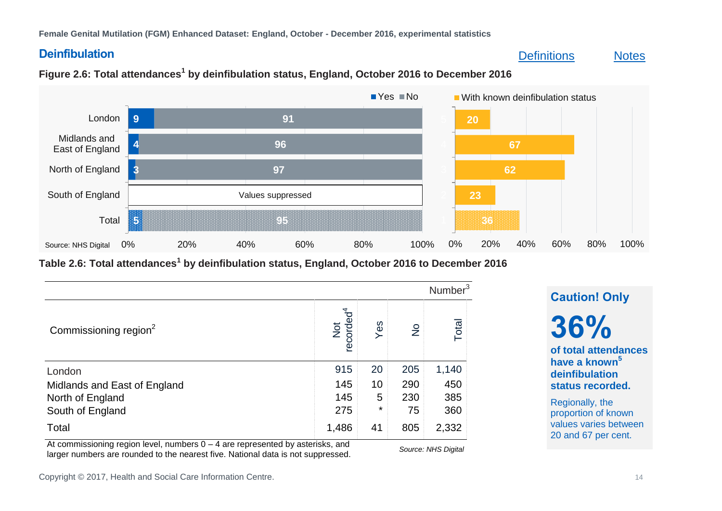### **Deinfibulation**

### [Definitions](#page-17-1) [Notes](#page-16-2)



### **Figure 2.6: Total attendances<sup>1</sup> by deinfibulation status, England, October 2016 to December 2016**

<span id="page-13-0"></span>**Table 2.6: Total attendances<sup>1</sup> by deinfibulation status, England, October 2016 to December 2016**

|                                   |                              |         |               | Number <sup>3</sup> |
|-----------------------------------|------------------------------|---------|---------------|---------------------|
| Commissioning region <sup>2</sup> | recorded <sup>4</sup><br>Not | Yes     | $\frac{1}{2}$ | Total               |
| London                            | 915                          | 20      | 205           | 1,140               |
| Midlands and East of England      | 145                          | 10      | 290           | 450                 |
| North of England                  | 145                          | 5       | 230           | 385                 |
| South of England                  | 275                          | $\star$ | 75            | 360                 |
| Total                             | 1,486                        | 41      | 805           | 2,332               |

At commissioning region level, numbers  $0 - 4$  are represented by asterisks, and larger numbers are rounded to the nearest five. National data is not suppressed. *Source: NHS Digital*

### **Caution! Only**

**36%**

**of total attendances have a known<sup>5</sup> deinfibulation status recorded.**

Regionally, the proportion of known values varies between 20 and 67 per cent.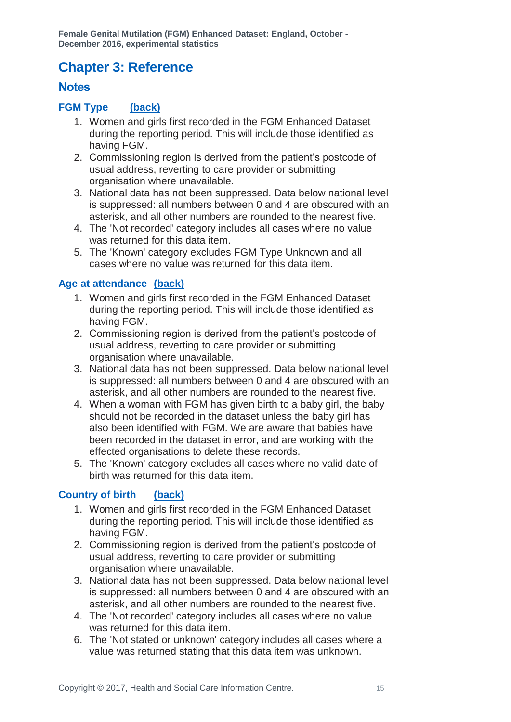# <span id="page-14-3"></span><span id="page-14-2"></span><span id="page-14-0"></span>**Chapter 3: Reference**

### <span id="page-14-1"></span>**Notes**

### **FGM Type [\(back\)](#page-8-0)**

- 1. Women and girls first recorded in the FGM Enhanced Dataset during the reporting period. This will include those identified as having FGM.
- 2. Commissioning region is derived from the patient's postcode of usual address, reverting to care provider or submitting organisation where unavailable.
- 3. National data has not been suppressed. Data below national level is suppressed: all numbers between 0 and 4 are obscured with an asterisk, and all other numbers are rounded to the nearest five.
- 4. The 'Not recorded' category includes all cases where no value was returned for this data item.
- 5. The 'Known' category excludes FGM Type Unknown and all cases where no value was returned for this data item.

### <span id="page-14-4"></span>**Age at attendance [\(back\)](#page-9-0)**

- 1. Women and girls first recorded in the FGM Enhanced Dataset during the reporting period. This will include those identified as having FGM.
- 2. Commissioning region is derived from the patient's postcode of usual address, reverting to care provider or submitting organisation where unavailable.
- 3. National data has not been suppressed. Data below national level is suppressed: all numbers between 0 and 4 are obscured with an asterisk, and all other numbers are rounded to the nearest five.
- 4. When a woman with FGM has given birth to a baby girl, the baby should not be recorded in the dataset unless the baby girl has also been identified with FGM. We are aware that babies have been recorded in the dataset in error, and are working with the effected organisations to delete these records.
- 5. The 'Known' category excludes all cases where no valid date of birth was returned for this data item.

### **Country of birth [\(back\)](#page-10-0)**

- 1. Women and girls first recorded in the FGM Enhanced Dataset during the reporting period. This will include those identified as having FGM.
- 2. Commissioning region is derived from the patient's postcode of usual address, reverting to care provider or submitting organisation where unavailable.
- 3. National data has not been suppressed. Data below national level is suppressed: all numbers between 0 and 4 are obscured with an asterisk, and all other numbers are rounded to the nearest five.
- 4. The 'Not recorded' category includes all cases where no value was returned for this data item.
- 6. The 'Not stated or unknown' category includes all cases where a value was returned stating that this data item was unknown.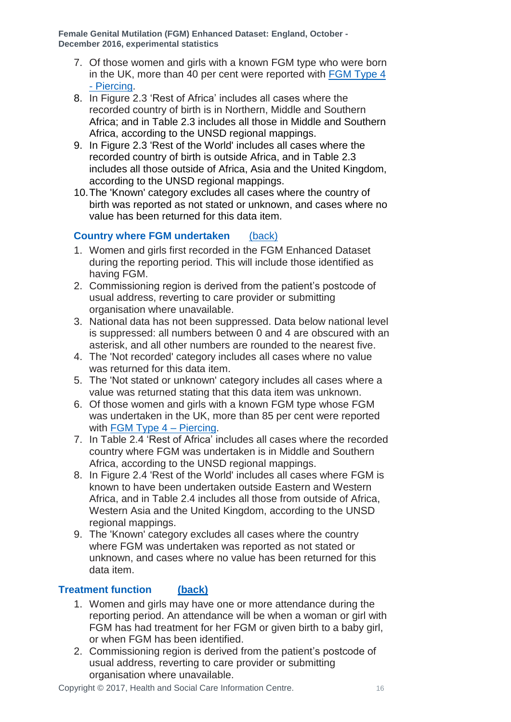- <span id="page-15-0"></span>7. Of those women and girls with a known FGM type who were born in the UK, more than 40 per cent were reported with [FGM Type 4](#page-17-2)  - [Piercing.](#page-17-2)
- 8. In Figure 2.3 'Rest of Africa' includes all cases where the recorded country of birth is in Northern, Middle and Southern Africa; and in Table 2.3 includes all those in Middle and Southern Africa, according to the UNSD regional mappings.
- 9. In Figure 2.3 'Rest of the World' includes all cases where the recorded country of birth is outside Africa, and in Table 2.3 includes all those outside of Africa, Asia and the United Kingdom, according to the UNSD regional mappings.
- 10.The 'Known' category excludes all cases where the country of birth was reported as not stated or unknown, and cases where no value has been returned for this data item.

### **Country where FGM undertaken** [\(back\)](#page-10-1)

- 1. Women and girls first recorded in the FGM Enhanced Dataset during the reporting period. This will include those identified as having FGM.
- 2. Commissioning region is derived from the patient's postcode of usual address, reverting to care provider or submitting organisation where unavailable.
- 3. National data has not been suppressed. Data below national level is suppressed: all numbers between 0 and 4 are obscured with an asterisk, and all other numbers are rounded to the nearest five.
- 4. The 'Not recorded' category includes all cases where no value was returned for this data item.
- <span id="page-15-1"></span>5. The 'Not stated or unknown' category includes all cases where a value was returned stating that this data item was unknown.
- 6. Of those women and girls with a known FGM type whose FGM was undertaken in the UK, more than 85 per cent were reported with [FGM Type 4 –](#page-17-2) Piercing.
- 7. In Table 2.4 'Rest of Africa' includes all cases where the recorded country where FGM was undertaken is in Middle and Southern Africa, according to the UNSD regional mappings.
- 8. In Figure 2.4 'Rest of the World' includes all cases where FGM is known to have been undertaken outside Eastern and Western Africa, and in Table 2.4 includes all those from outside of Africa, Western Asia and the United Kingdom, according to the UNSD regional mappings.
- 9. The 'Known' category excludes all cases where the country where FGM was undertaken was reported as not stated or unknown, and cases where no value has been returned for this data item.

### **Treatment function [\(back\)](#page-11-1)**

- 1. Women and girls may have one or more attendance during the reporting period. An attendance will be when a woman or girl with FGM has had treatment for her FGM or given birth to a baby girl, or when FGM has been identified.
- 2. Commissioning region is derived from the patient's postcode of usual address, reverting to care provider or submitting organisation where unavailable.

Copyright © 2017, Health and Social Care Information Centre. 16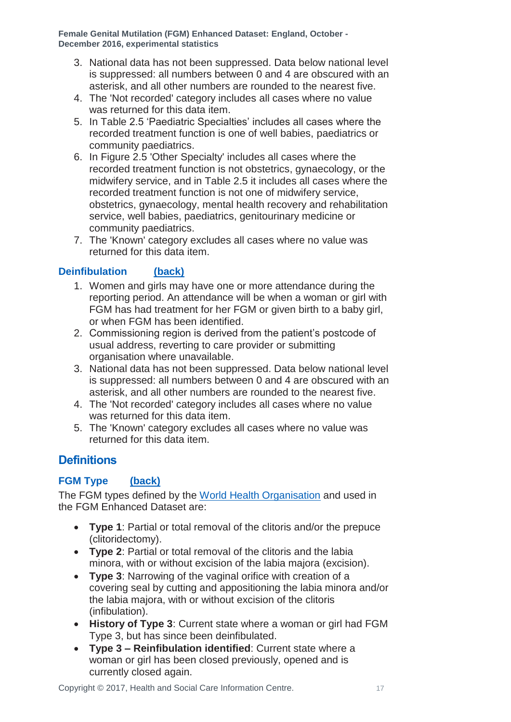- <span id="page-16-2"></span>3. National data has not been suppressed. Data below national level is suppressed: all numbers between 0 and 4 are obscured with an asterisk, and all other numbers are rounded to the nearest five.
- 4. The 'Not recorded' category includes all cases where no value was returned for this data item.
- 5. In Table 2.5 'Paediatric Specialties' includes all cases where the recorded treatment function is one of well babies, paediatrics or community paediatrics.
- 6. In Figure 2.5 'Other Specialty' includes all cases where the recorded treatment function is not obstetrics, gynaecology, or the midwifery service, and in Table 2.5 it includes all cases where the recorded treatment function is not one of midwifery service, obstetrics, gynaecology, mental health recovery and rehabilitation service, well babies, paediatrics, genitourinary medicine or community paediatrics.
- 7. The 'Known' category excludes all cases where no value was returned for this data item.

### <span id="page-16-1"></span>**Deinfibulation [\(back\)](#page-13-0)**

- 1. Women and girls may have one or more attendance during the reporting period. An attendance will be when a woman or girl with FGM has had treatment for her FGM or given birth to a baby girl, or when FGM has been identified.
- 2. Commissioning region is derived from the patient's postcode of usual address, reverting to care provider or submitting organisation where unavailable.
- 3. National data has not been suppressed. Data below national level is suppressed: all numbers between 0 and 4 are obscured with an asterisk, and all other numbers are rounded to the nearest five.
- 4. The 'Not recorded' category includes all cases where no value was returned for this data item.
- 5. The 'Known' category excludes all cases where no value was returned for this data item.

### <span id="page-16-0"></span>**Definitions**

### **FGM Type [\(back\)](#page-8-0)**

The FGM types defined by the [World Health Organisation](http://www.who.int/topics/female_genital_mutilation/en/) and used in the FGM Enhanced Dataset are:

- **Type 1**: Partial or total removal of the clitoris and/or the prepuce (clitoridectomy).
- **Type 2**: Partial or total removal of the clitoris and the labia minora, with or without excision of the labia majora (excision).
- **Type 3**: Narrowing of the vaginal orifice with creation of a covering seal by cutting and appositioning the labia minora and/or the labia majora, with or without excision of the clitoris (infibulation).
- **History of Type 3**: Current state where a woman or girl had FGM Type 3, but has since been deinfibulated.
- **Type 3 – Reinfibulation identified**: Current state where a woman or girl has been closed previously, opened and is currently closed again.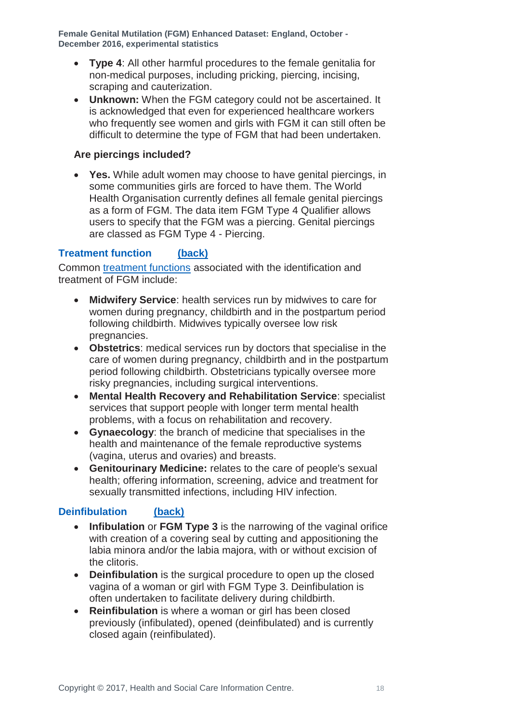- <span id="page-17-0"></span> **Type 4**: All other harmful procedures to the female genitalia for non-medical purposes, including pricking, piercing, incising, scraping and cauterization.
- **Unknown:** When the FGM category could not be ascertained. It is acknowledged that even for experienced healthcare workers who frequently see women and girls with FGM it can still often be difficult to determine the type of FGM that had been undertaken.

### <span id="page-17-2"></span>**Are piercings included?**

 **Yes.** While adult women may choose to have genital piercings, in some communities girls are forced to have them. The World Health Organisation currently defines all female genital piercings as a form of FGM. The data item FGM Type 4 Qualifier allows users to specify that the FGM was a piercing. Genital piercings are classed as FGM Type 4 - Piercing.

### **Treatment function [\(back\)](#page-11-1)**

Common [treatment functions](http://www.datadictionary.nhs.uk/data_dictionary/attributes/t/tran/treatment_function_code_de.asp?shownav=0) associated with the identification and treatment of FGM include:

- <span id="page-17-1"></span> **Midwifery Service**: health services run by midwives to care for women during pregnancy, childbirth and in the postpartum period following childbirth. Midwives typically oversee low risk pregnancies.
- **Obstetrics**: medical services run by doctors that specialise in the care of women during pregnancy, childbirth and in the postpartum period following childbirth. Obstetricians typically oversee more risky pregnancies, including surgical interventions.
- **Mental Health Recovery and Rehabilitation Service**: specialist services that support people with longer term mental health problems, with a focus on rehabilitation and recovery.
- **Gynaecology**: the branch of medicine that specialises in the health and maintenance of the female reproductive systems (vagina, uterus and ovaries) and breasts.
- **Genitourinary Medicine:** relates to the care of people's sexual health; offering information, screening, advice and treatment for sexually transmitted infections, including HIV infection.

### **Deinfibulation [\(back\)](#page-13-0)**

- **Infibulation** or **FGM Type 3** is the narrowing of the vaginal orifice with creation of a covering seal by cutting and appositioning the labia minora and/or the labia majora, with or without excision of the clitoris.
- **Deinfibulation** is the surgical procedure to open up the closed vagina of a woman or girl with FGM Type 3. Deinfibulation is often undertaken to facilitate delivery during childbirth.
- **Reinfibulation** is where a woman or girl has been closed previously (infibulated), opened (deinfibulated) and is currently closed again (reinfibulated).